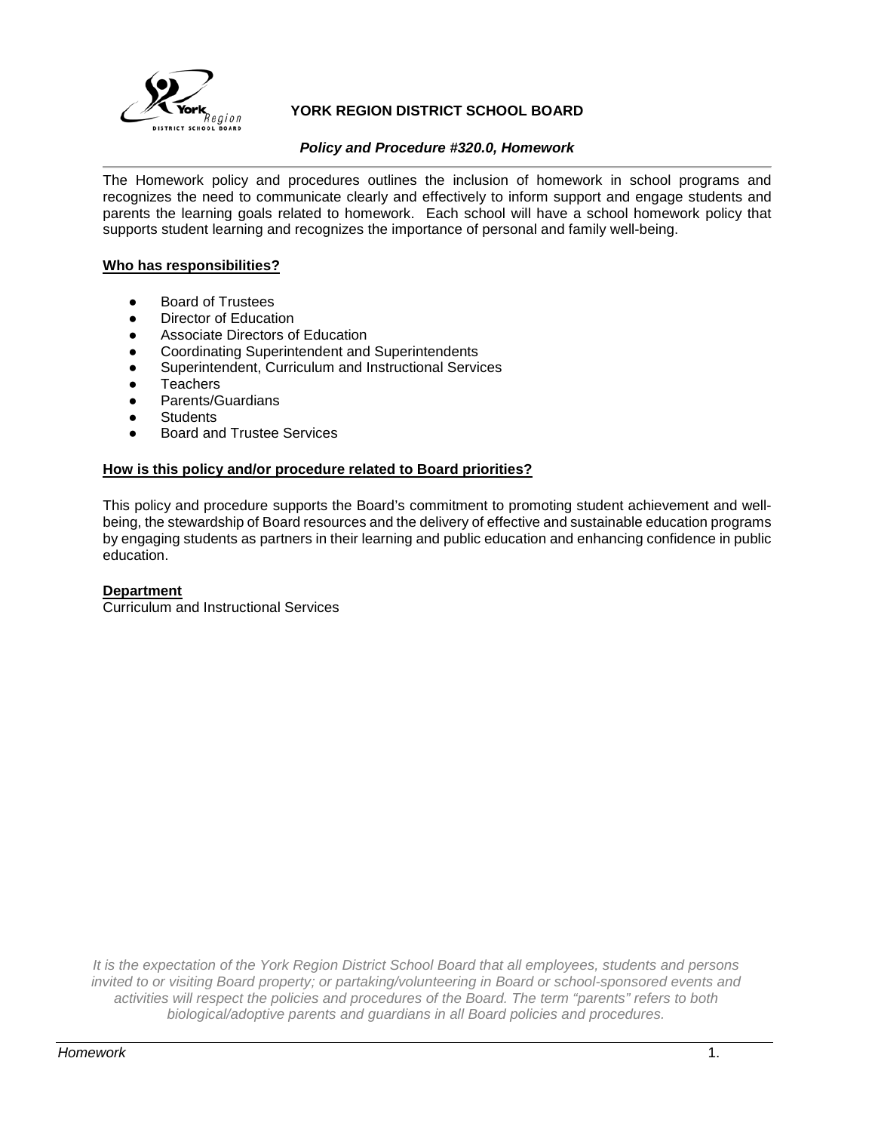

## **YORK REGION DISTRICT SCHOOL BOARD**

## *Policy and Procedure #320.0, Homework*

The Homework policy and procedures outlines the inclusion of homework in school programs and recognizes the need to communicate clearly and effectively to inform support and engage students and parents the learning goals related to homework. Each school will have a school homework policy that supports student learning and recognizes the importance of personal and family well-being.

#### **Who has responsibilities?**

- **Board of Trustees**
- Director of Education
- Associate Directors of Education
- Coordinating Superintendent and Superintendents
- Superintendent, Curriculum and Instructional Services
- **Teachers**
- Parents/Guardians
- **Students**
- **Board and Trustee Services**

#### **How is this policy and/or procedure related to Board priorities?**

This policy and procedure supports the Board's commitment to promoting student achievement and wellbeing, the stewardship of Board resources and the delivery of effective and sustainable education programs by engaging students as partners in their learning and public education and enhancing confidence in public education.

#### **Department**

Curriculum and Instructional Services

*It is the expectation of the York Region District School Board that all employees, students and persons invited to or visiting Board property; or partaking/volunteering in Board or school-sponsored events and activities will respect the policies and procedures of the Board. The term "parents" refers to both biological/adoptive parents and guardians in all Board policies and procedures.*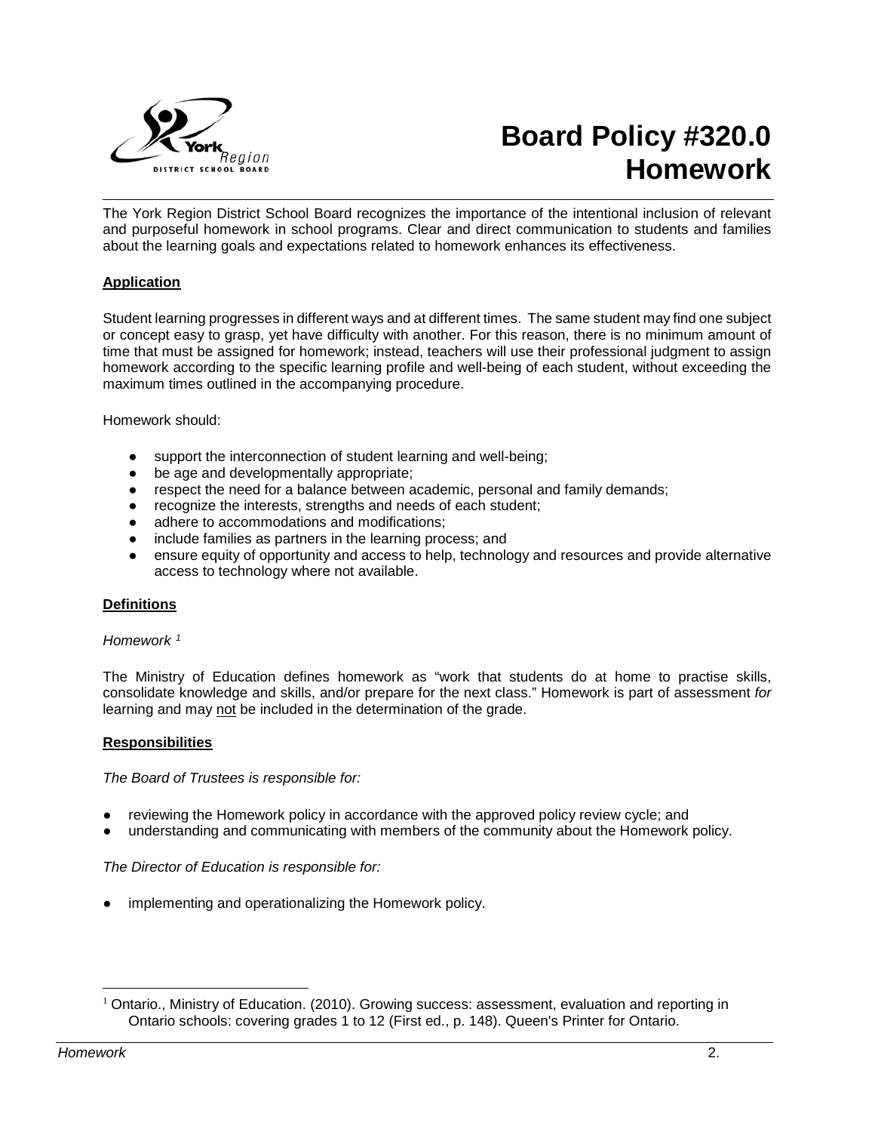

# **Board Policy #320.0 Homework**

The York Region District School Board recognizes the importance of the intentional inclusion of relevant and purposeful homework in school programs. Clear and direct communication to students and families about the learning goals and expectations related to homework enhances its effectiveness.

## **Application**

Student learning progresses in different ways and at different times. The same student may find one subject or concept easy to grasp, yet have difficulty with another. For this reason, there is no minimum amount of time that must be assigned for homework; instead, teachers will use their professional judgment to assign homework according to the specific learning profile and well-being of each student, without exceeding the maximum times outlined in the accompanying procedure.

Homework should:

- support the interconnection of student learning and well-being;
- be age and developmentally appropriate;
- respect the need for a balance between academic, personal and family demands;
- recognize the interests, strengths and needs of each student;
- adhere to accommodations and modifications;
- include families as partners in the learning process; and
- ensure equity of opportunity and access to help, technology and resources and provide alternative access to technology where not available.

#### **Definitions**

#### *Homework [1](#page-1-0)*

The Ministry of Education defines homework as "work that students do at home to practise skills, consolidate knowledge and skills, and/or prepare for the next class." Homework is part of assessment *for* learning and may not be included in the determination of the grade.

## **Responsibilities**

*The Board of Trustees is responsible for:*

- reviewing the Homework policy in accordance with the approved policy review cycle; and
- understanding and communicating with members of the community about the Homework policy.

## *The Director of Education is responsible for:*

implementing and operationalizing the Homework policy.

<span id="page-1-0"></span><sup>&</sup>lt;sup>1</sup> Ontario., Ministry of Education. (2010). Growing success: assessment, evaluation and reporting in Ontario schools: covering grades 1 to 12 (First ed., p. 148). Queen's Printer for Ontario.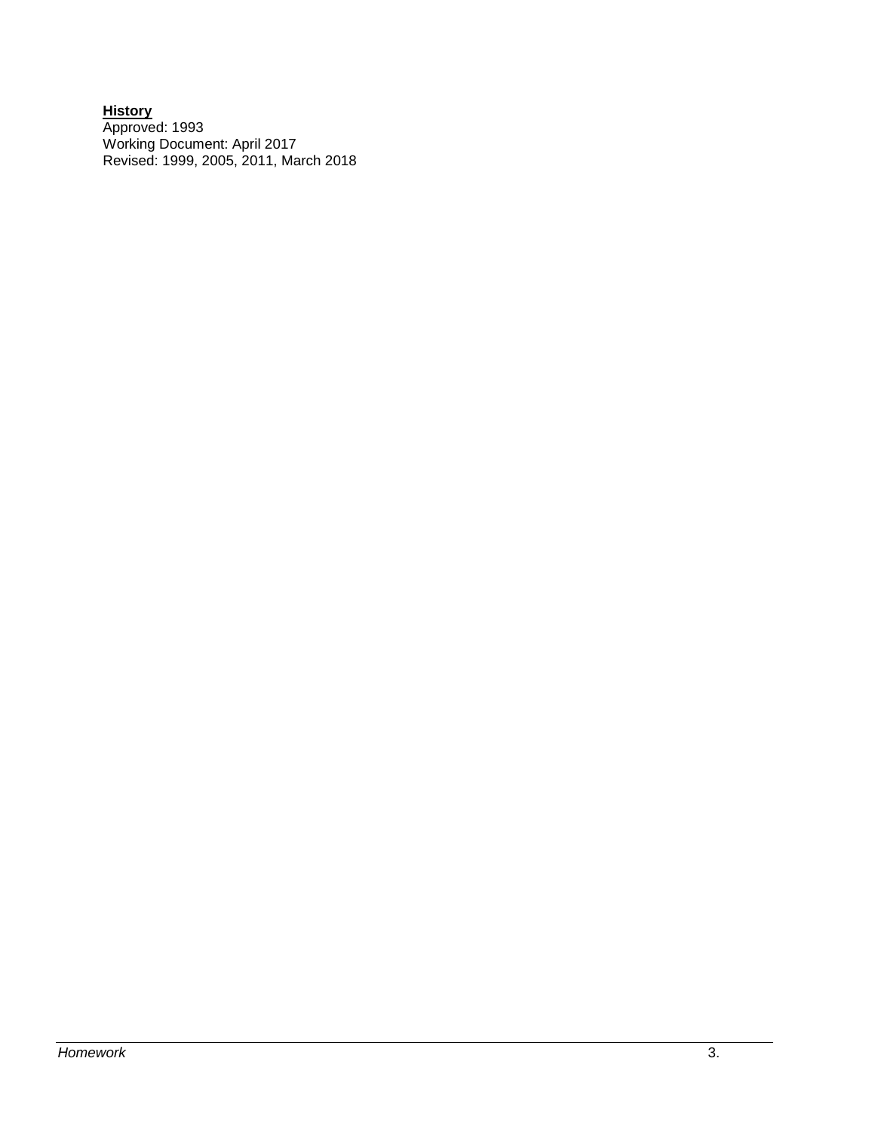#### **History** Approved: 1993 Working Document: April 2017 Revised: 1999, 2005, 2011, March 2018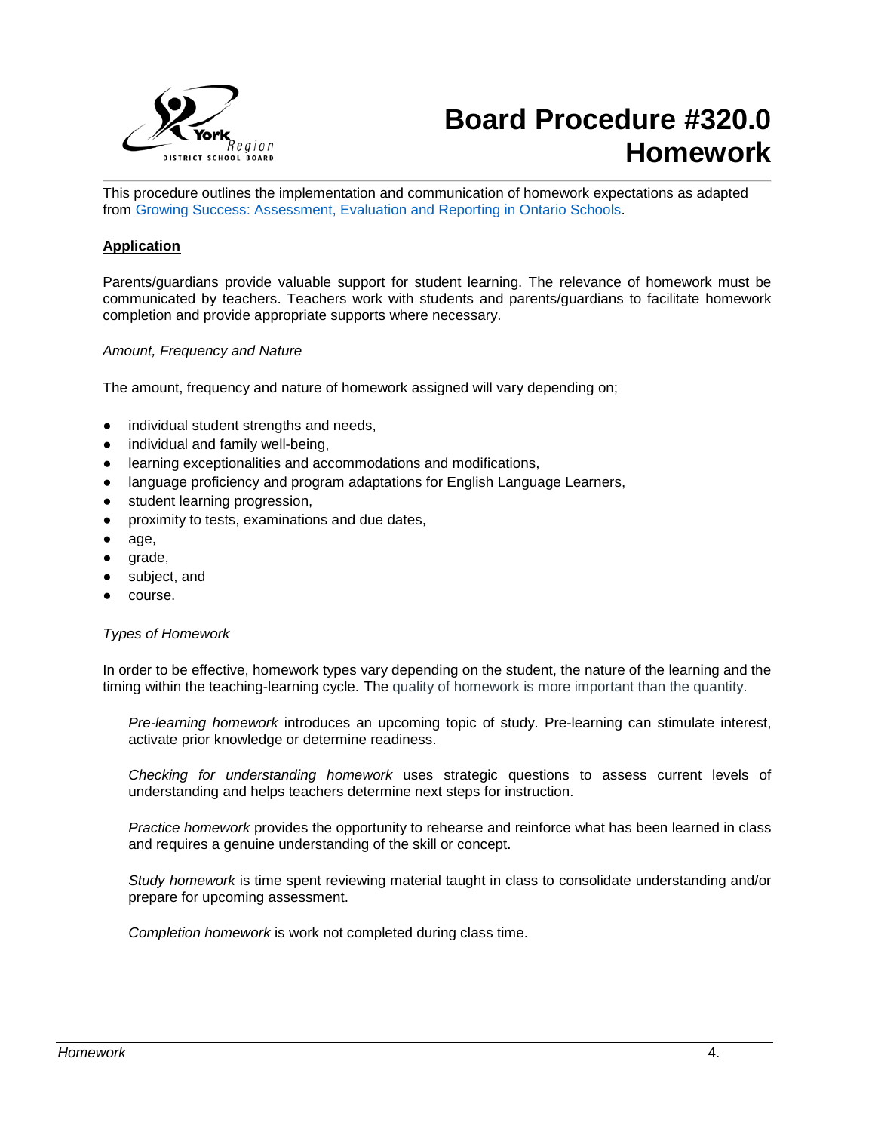

## **Board Procedure #320.0 Homework**

This procedure outlines the implementation and communication of homework expectations as adapted from [Growing Success: Assessment, Evaluation and Reporting in Ontario Schools.](http://www.edu.gov.on.ca/eng/policyfunding/growSuccess.pdf)

#### **Application**

Parents/guardians provide valuable support for student learning. The relevance of homework must be communicated by teachers. Teachers work with students and parents/guardians to facilitate homework completion and provide appropriate supports where necessary.

#### *Amount, Frequency and Nature*

The amount, frequency and nature of homework assigned will vary depending on;

- individual student strengths and needs,
- individual and family well-being,
- learning exceptionalities and accommodations and modifications,
- language proficiency and program adaptations for English Language Learners,
- student learning progression,
- proximity to tests, examinations and due dates,
- age,
- grade,
- subject, and
- course.

#### *Types of Homework*

In order to be effective, homework types vary depending on the student, the nature of the learning and the timing within the teaching-learning cycle. The quality of homework is more important than the quantity.

*Pre-learning homework* introduces an upcoming topic of study. Pre-learning can stimulate interest, activate prior knowledge or determine readiness.

*Checking for understanding homework* uses strategic questions to assess current levels of understanding and helps teachers determine next steps for instruction.

*Practice homework* provides the opportunity to rehearse and reinforce what has been learned in class and requires a genuine understanding of the skill or concept.

*Study homework* is time spent reviewing material taught in class to consolidate understanding and/or prepare for upcoming assessment.

*Completion homework* is work not completed during class time.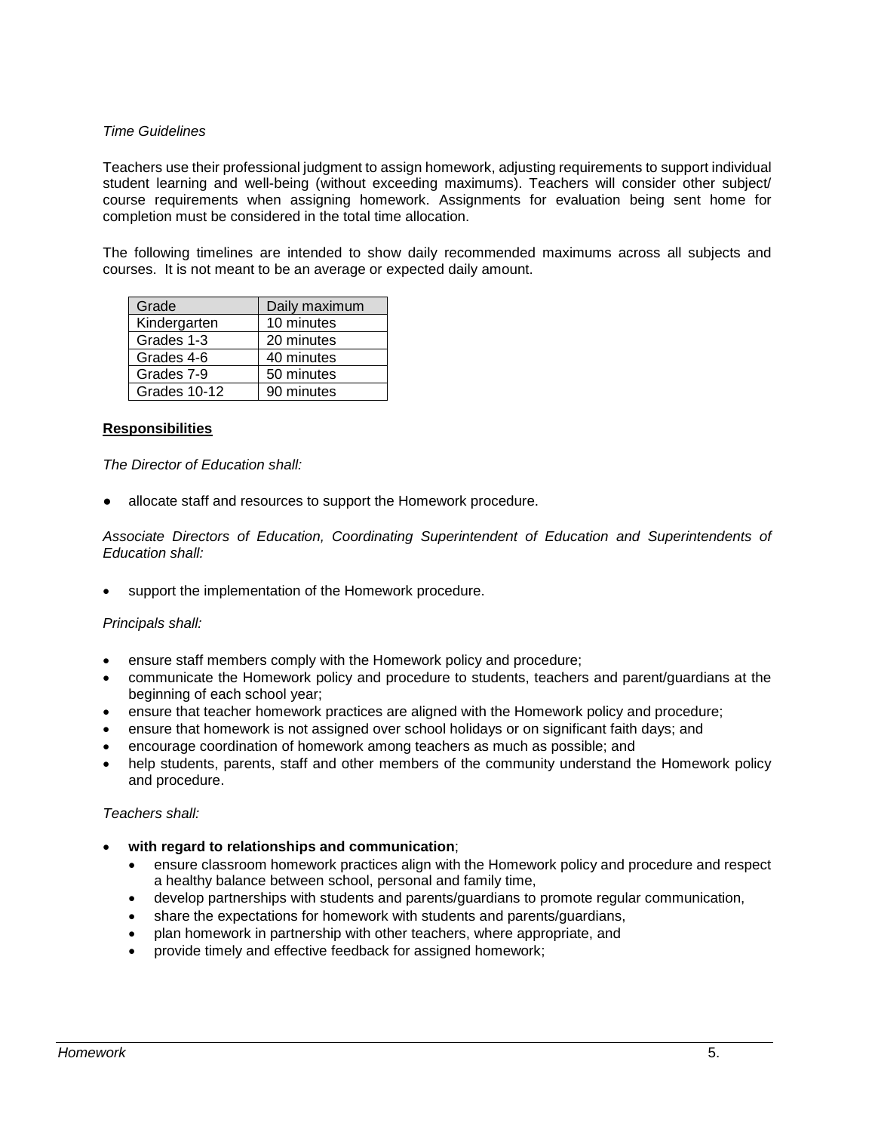## *Time Guidelines*

Teachers use their professional judgment to assign homework, adjusting requirements to support individual student learning and well-being (without exceeding maximums). Teachers will consider other subject/ course requirements when assigning homework. Assignments for evaluation being sent home for completion must be considered in the total time allocation.

The following timelines are intended to show daily recommended maximums across all subjects and courses. It is not meant to be an average or expected daily amount.

| Grade        | Daily maximum |
|--------------|---------------|
| Kindergarten | 10 minutes    |
| Grades 1-3   | 20 minutes    |
| Grades 4-6   | 40 minutes    |
| Grades 7-9   | 50 minutes    |
| Grades 10-12 | 90 minutes    |

## **Responsibilities**

## *The Director of Education shall:*

allocate staff and resources to support the Homework procedure.

*Associate Directors of Education, Coordinating Superintendent of Education and Superintendents of Education shall:*

support the implementation of the Homework procedure.

#### *Principals shall:*

- ensure staff members comply with the Homework policy and procedure;
- communicate the Homework policy and procedure to students, teachers and parent/guardians at the beginning of each school year;
- ensure that teacher homework practices are aligned with the Homework policy and procedure;
- ensure that homework is not assigned over school holidays or on significant faith days; and
- encourage coordination of homework among teachers as much as possible; and
- help students, parents, staff and other members of the community understand the Homework policy and procedure.

#### *Teachers shall:*

- **with regard to relationships and communication**;
	- ensure classroom homework practices align with the Homework policy and procedure and respect a healthy balance between school, personal and family time,
	- develop partnerships with students and parents/guardians to promote regular communication,
	- share the expectations for homework with students and parents/guardians,
	- plan homework in partnership with other teachers, where appropriate, and
	- provide timely and effective feedback for assigned homework;